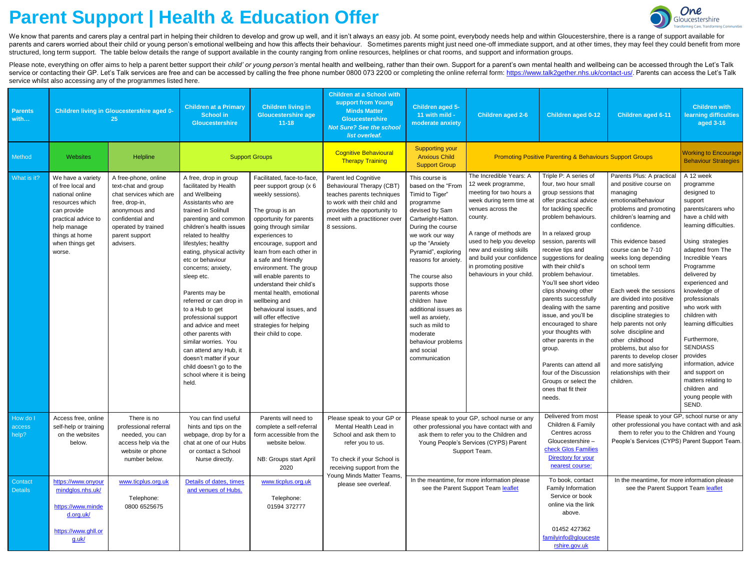## **Parent Support | Health & Education Offer**



We know that parents and carers play a central part in helping their children to develop and grow up well, and it isn't always an easy job. At some point, everybody needs help and within Gloucestershire, there is a range o parents and carers worried about their child or young person's emotional wellbeing and how this affects their behaviour. Sometimes parents might just need one-off immediate support, and at other times, they may feel they c structured, long term support. The table below details the range of support available in the county ranging from online resources, helplines or chat rooms, and support and information groups.

Please note, everything on offer aims to help a parent better support their child' or young person's mental health and wellbeing, rather than their own. Support for a parent's own mental health and wellbeing can be accesse service or contacting their GP. Let's Talk services are free and can be accessed by calling the free phone number 0800 073 2200 or completing the online referral form: <https://www.talk2gether.nhs.uk/contact-us/>. Parents ca service whilst also accessing any of the programmes listed here.

| <b>Parents</b><br>with      | Children living in Gloucestershire aged 0-<br>25                                                                                                                                 |                                                                                                                                                                                     | <b>Children at a Primary</b><br><b>School in</b><br><b>Gloucestershire</b>                                                                                                                                                                                                                                                                                                                                                                                                                                                                                                          | <b>Children living in</b><br><b>Gloucestershire age</b><br>$11 - 18$                                                                                                                                                                                                                                                                                                                                                                                                               | <b>Children at a School with</b><br>support from Young<br><b>Minds Matter</b><br><b>Gloucestershire</b><br><b>Not Sure? See the school</b><br>list overleaf.                                   | Children aged 5-<br>11 with mild -<br>moderate anxiety                                                                                                                                                                                                                                                                                                                                                                        | Children aged 2-6                                                                                                                                                                                                                                                                                        | <b>Children aged 0-12</b>                                                                                                                                                                                                                                                                                                                                                                                                                                                                                                                                                                                      | Children aged 6-11                                                                                                                                                                                                                                                                                                                                                                                                                                                                                                                                                       | <b>Children with</b><br>learning difficulties<br>aged 3-16                                                                                                                                                                                                                                                                                                                                                                                                                                 |
|-----------------------------|----------------------------------------------------------------------------------------------------------------------------------------------------------------------------------|-------------------------------------------------------------------------------------------------------------------------------------------------------------------------------------|-------------------------------------------------------------------------------------------------------------------------------------------------------------------------------------------------------------------------------------------------------------------------------------------------------------------------------------------------------------------------------------------------------------------------------------------------------------------------------------------------------------------------------------------------------------------------------------|------------------------------------------------------------------------------------------------------------------------------------------------------------------------------------------------------------------------------------------------------------------------------------------------------------------------------------------------------------------------------------------------------------------------------------------------------------------------------------|------------------------------------------------------------------------------------------------------------------------------------------------------------------------------------------------|-------------------------------------------------------------------------------------------------------------------------------------------------------------------------------------------------------------------------------------------------------------------------------------------------------------------------------------------------------------------------------------------------------------------------------|----------------------------------------------------------------------------------------------------------------------------------------------------------------------------------------------------------------------------------------------------------------------------------------------------------|----------------------------------------------------------------------------------------------------------------------------------------------------------------------------------------------------------------------------------------------------------------------------------------------------------------------------------------------------------------------------------------------------------------------------------------------------------------------------------------------------------------------------------------------------------------------------------------------------------------|--------------------------------------------------------------------------------------------------------------------------------------------------------------------------------------------------------------------------------------------------------------------------------------------------------------------------------------------------------------------------------------------------------------------------------------------------------------------------------------------------------------------------------------------------------------------------|--------------------------------------------------------------------------------------------------------------------------------------------------------------------------------------------------------------------------------------------------------------------------------------------------------------------------------------------------------------------------------------------------------------------------------------------------------------------------------------------|
| Method                      | <b>Websites</b>                                                                                                                                                                  | Helpline                                                                                                                                                                            | <b>Support Groups</b>                                                                                                                                                                                                                                                                                                                                                                                                                                                                                                                                                               |                                                                                                                                                                                                                                                                                                                                                                                                                                                                                    | <b>Cognitive Behavioural</b><br><b>Therapy Training</b>                                                                                                                                        | <b>Supporting your</b><br><b>Anxious Child</b><br><b>Support Group</b>                                                                                                                                                                                                                                                                                                                                                        | <b>Promoting Positive Parenting &amp; Behaviours Support Groups</b>                                                                                                                                                                                                                                      |                                                                                                                                                                                                                                                                                                                                                                                                                                                                                                                                                                                                                |                                                                                                                                                                                                                                                                                                                                                                                                                                                                                                                                                                          | <b>Working to Encourage</b><br><b>Behaviour Strategies</b>                                                                                                                                                                                                                                                                                                                                                                                                                                 |
| What is it?                 | We have a variety<br>of free local and<br>national online<br>resources which<br>can provide<br>practical advice to<br>help manage<br>things at home<br>when things get<br>worse. | A free-phone, online<br>text-chat and group<br>chat services which are<br>free, drop-in,<br>anonymous and<br>confidential and<br>operated by trained<br>parent support<br>advisers. | A free, drop in group<br>facilitated by Health<br>and Wellbeing<br>Assistants who are<br>trained in Solihull<br>parenting and common<br>children's health issues<br>related to healthy<br>lifestyles; healthy<br>eating, physical activity<br>etc or behaviour<br>concerns; anxiety,<br>sleep etc.<br>Parents may be<br>referred or can drop in<br>to a Hub to get<br>professional support<br>and advice and meet<br>other parents with<br>similar worries. You<br>can attend any Hub, it<br>doesn't matter if your<br>child doesn't go to the<br>school where it is being<br>held. | Facilitated, face-to-face,<br>peer support group (x 6<br>weekly sessions).<br>The group is an<br>opportunity for parents<br>going through similar<br>experiences to<br>encourage, support and<br>learn from each other in<br>a safe and friendly<br>environment. The group<br>will enable parents to<br>understand their child's<br>mental health, emotional<br>wellbeing and<br>behavioural issues, and<br>will offer effective<br>strategies for helping<br>their child to cope. | Parent led Cognitive<br>Behavioural Therapy (CBT)<br>teaches parents techniques<br>to work with their child and<br>provides the opportunity to<br>meet with a practitioner over<br>8 sessions. | This course is<br>based on the "From<br>Timid to Tiger"<br>programme<br>devised by Sam<br>Cartwright-Hatton.<br>During the course<br>we work our way<br>up the "Anxiety<br>Pyramid", exploring<br>reasons for anxiety.<br>The course also<br>supports those<br>parents whose<br>children have<br>additional issues as<br>well as anxiety,<br>such as mild to<br>moderate<br>behaviour problems<br>and social<br>communication | The Incredible Years: A<br>12 week programme,<br>meeting for two hours a<br>week during term time at<br>venues across the<br>county.<br>A range of methods are<br>used to help you develop<br>new and existing skills<br>and build your confidence<br>in promoting positive<br>behaviours in your child. | Triple P: A series of<br>four, two hour small<br>group sessions that<br>offer practical advice<br>for tackling specific<br>problem behaviours.<br>In a relaxed group<br>session, parents will<br>receive tips and<br>suggestions for dealing<br>with their child's<br>problem behaviour.<br>You'll see short video<br>clips showing other<br>parents successfully<br>dealing with the same<br>issue, and you'll be<br>encouraged to share<br>your thoughts with<br>other parents in the<br>group.<br>Parents can attend all<br>four of the Discussion<br>Groups or select the<br>ones that fit their<br>needs. | Parents Plus: A practical<br>and positive course on<br>managing<br>emotional/behaviour<br>problems and promoting<br>children's learning and<br>confidence.<br>This evidence based<br>course can be 7-10<br>weeks long depending<br>on school term<br>timetables.<br>Each week the sessions<br>are divided into positive<br>parenting and positive<br>discipline strategies to<br>help parents not only<br>solve discipline and<br>other childhood<br>problems, but also for<br>parents to develop closer<br>and more satisfying<br>relationships with their<br>children. | A 12 week<br>programme<br>designed to<br>support<br>parents/carers who<br>have a child with<br>learning difficulties.<br>Using strategies<br>adapted from The<br>Incredible Years<br>Programme<br>delivered by<br>experienced and<br>knowledge of<br>professionals<br>who work with<br>children with<br>learning difficulties<br>Furthermore,<br><b>SENDIASS</b><br>provides<br>information, advice<br>and support on<br>matters relating to<br>children and<br>young people with<br>SEND. |
| How do I<br>access<br>help? | Access free, online<br>self-help or training<br>on the websites<br>below.                                                                                                        | There is no<br>professional referral<br>needed, you can<br>access help via the<br>website or phone<br>number below.                                                                 | You can find useful<br>hints and tips on the<br>webpage, drop by for a<br>chat at one of our Hubs<br>or contact a School<br>Nurse directly.                                                                                                                                                                                                                                                                                                                                                                                                                                         | Parents will need to<br>complete a self-referral<br>form accessible from the<br>website below.<br>NB: Groups start April<br>2020                                                                                                                                                                                                                                                                                                                                                   | Please speak to your GP or<br>Mental Health Lead in<br>School and ask them to<br>refer you to us.<br>To check if your School is<br>receiving support from the<br>Young Minds Matter Teams,     | Please speak to your GP, school nurse or any<br>other professional you have contact with and<br>ask them to refer you to the Children and<br>Young People's Services (CYPS) Parent<br>Support Team.<br>In the meantime, for more information please<br>see the Parent Support Team leaflet                                                                                                                                    |                                                                                                                                                                                                                                                                                                          | Delivered from most<br>Children & Family<br>Centres across<br>Gloucestershire-<br>check Glos Families<br>Directory for your<br>nearest course:                                                                                                                                                                                                                                                                                                                                                                                                                                                                 | Please speak to your GP, school nurse or any<br>other professional you have contact with and ask<br>them to refer you to the Children and Young<br>People's Services (CYPS) Parent Support Team.<br>In the meantime, for more information please<br>see the Parent Support Team leaflet                                                                                                                                                                                                                                                                                  |                                                                                                                                                                                                                                                                                                                                                                                                                                                                                            |
| Contact<br><b>Details</b>   | https://www.onyour<br>mindglos.nhs.uk/<br>https://www.minde<br>d.org.uk/<br>https://www.ghll.or<br>g.uk/                                                                         | www.ticplus.org.uk<br>Telephone:<br>0800 6525675                                                                                                                                    | Details of dates, times<br>and venues of Hubs.                                                                                                                                                                                                                                                                                                                                                                                                                                                                                                                                      | www.ticplus.org.uk<br>Telephone:<br>01594 372777                                                                                                                                                                                                                                                                                                                                                                                                                                   | please see overleaf.                                                                                                                                                                           |                                                                                                                                                                                                                                                                                                                                                                                                                               |                                                                                                                                                                                                                                                                                                          | To book, contact<br>Family Information<br>Service or book<br>online via the link<br>above.<br>01452 427362<br>familyinfo@glouceste<br>rshire.gov.uk                                                                                                                                                                                                                                                                                                                                                                                                                                                            |                                                                                                                                                                                                                                                                                                                                                                                                                                                                                                                                                                          |                                                                                                                                                                                                                                                                                                                                                                                                                                                                                            |